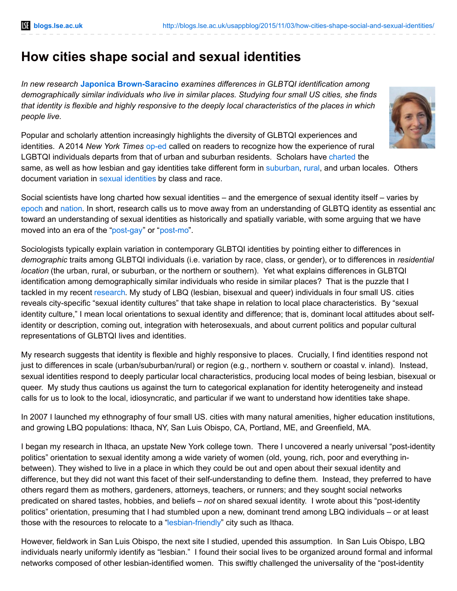# **How cities shape social and sexual identities**

*In new research* **Japonica [Brown-Saracino](http://wp.me/p3I2YF-4oy#Author)** *examines differences in GLBTQI identification among demographically similar individuals who live in similar places. Studying four small US cities, she finds* that identity is flexible and highly responsive to the deeply local characteristics of the places in which *people live.*

Popular and scholarly attention increasingly highlights the diversity of GLBTQI experiences and identities. A 2014 *New York Times* [op-ed](http://www.nytimes.com/2014/10/23/opinion/the-battle-for-gay-rights-in-rural-america.html?_r=0) called on readers to recognize how the experience of rural LGBTQI individuals departs from that of urban and suburban residents. Scholars have [charted](http://nyupress.org/books/9780814731932) the same, as well as how lesbian and gay identities take different form in [suburban](http://press.uchicago.edu/ucp/books/book/chicago/P/bo3631418.html), [rural](http://link.springer.com/article/10.1007%2Fs11133-011-9205-1), and urban locales. Others document variation in sexual [identities](http://nyupress.org/books/9780814735855/) by class and race.

Social scientists have long charted how sexual identities – and the emergence of sexual identity itself – varies by [epoch](http://www.press.uchicago.edu/ucp/books/book/chicago/S/bo3640270.html) and [nation](http://sex.sagepub.com/content/17/8/919.short). In short, research calls us to move away from an understanding of GLBTQ identity as essential anc toward an understanding of sexual identities as historically and spatially variable, with some arguing that we have moved into an era of the ["post-gay](http://socpro.oxfordjournals.org/content/58/1/99)" or "[post-mo](http://www.sciencedirect.com/science/article/pii/S0016718512002692)".

Sociologists typically explain variation in contemporary GLBTQI identities by pointing either to differences in *demographic* traits among GLBTQI individuals (i.e. variation by race, class, or gender), or to differences in *residential location* (the urban, rural, or suburban, or the northern or southern). Yet what explains differences in GLBTQI identification among demographically similar individuals who reside in similar places? That is the puzzle that I tackled in my recent [research.](http://www.jstor.org/stable/10.1086/682066?seq=1#page_scan_tab_contents) My study of LBQ (lesbian, bisexual and queer) individuals in four small US. cities reveals city-specific "sexual identity cultures" that take shape in relation to local place characteristics. By "sexual identity culture," I mean local orientations to sexual identity and difference; that is, dominant local attitudes about selfidentity or description, coming out, integration with heterosexuals, and about current politics and popular cultural representations of GLBTQI lives and identities.

My research suggests that identity is flexible and highly responsive to places. Crucially, I find identities respond not just to differences in scale (urban/suburban/rural) or region (e.g., northern v. southern or coastal v. inland). Instead, sexual identities respond to deeply particular local characteristics, producing local modes of being lesbian, bisexual or queer. My study thus cautions us against the turn to categorical explanation for identity heterogeneity and instead calls for us to look to the local, idiosyncratic, and particular if we want to understand how identities take shape.

In 2007 I launched my ethnography of four small US. cities with many natural amenities, higher education institutions, and growing LBQ populations: Ithaca, NY, San Luis Obispo, CA, Portland, ME, and Greenfield, MA.

I began my research in Ithaca, an upstate New York college town. There I uncovered a nearly universal "post-identity politics" orientation to sexual identity among a wide variety of women (old, young, rich, poor and everything inbetween). They wished to live in a place in which they could be out and open about their sexual identity and difference, but they did not want this facet of their self-understanding to define them. Instead, they preferred to have others regard them as mothers, gardeners, attorneys, teachers, or runners; and they sought social networks predicated on shared tastes, hobbies, and beliefs – *not* on shared sexual identity. I wrote about this "post-identity politics" orientation, presuming that I had stumbled upon a new, dominant trend among LBQ individuals – or at least those with the resources to relocate to a ["lesbian-friendly](http://www.jstor.org/stable/10.1525/sp.2011.58.3.361#pdf_only_tab_contents)" city such as Ithaca.

However, fieldwork in San Luis Obispo, the next site I studied, upended this assumption. In San Luis Obispo, LBQ individuals nearly uniformly identify as "lesbian." I found their social lives to be organized around formal and informal networks composed of other lesbian-identified women. This swiftly challenged the universality of the "post-identity

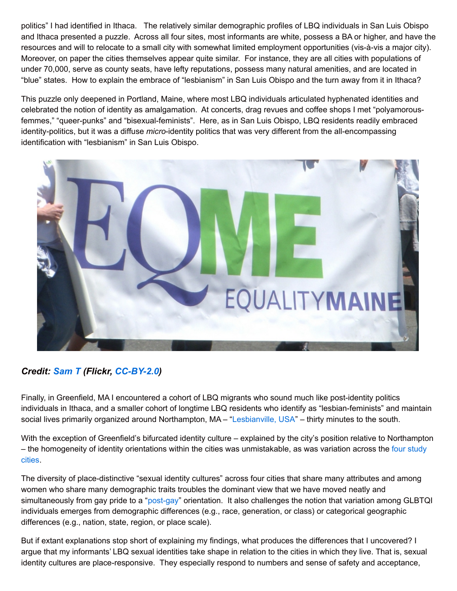politics" I had identified in Ithaca. The relatively similar demographic profiles of LBQ individuals in San Luis Obispo and Ithaca presented a puzzle. Across all four sites, most informants are white, possess a BA or higher, and have the resources and will to relocate to a small city with somewhat limited employment opportunities (vis-à-vis a major city). Moreover, on paper the cities themselves appear quite similar. For instance, they are all cities with populations of under 70,000, serve as county seats, have lefty reputations, possess many natural amenities, and are located in "blue" states. How to explain the embrace of "lesbianism" in San Luis Obispo and the turn away from it in Ithaca?

This puzzle only deepened in Portland, Maine, where most LBQ individuals articulated hyphenated identities and celebrated the notion of identity as amalgamation. At concerts, drag revues and coffee shops I met "polyamorousfemmes," "queer-punks" and "bisexual-feminists". Here, as in San Luis Obispo, LBQ residents readily embraced identity-politics, but it was a diffuse *micro*-identity politics that was very different from the all-encompassing identification with "lesbianism" in San Luis Obispo.



## *Credit: [Sam](https://www.flickr.com/photos/samm4mrox/) T (Flickr, [CC-BY-2.0](https://creativecommons.org/licenses/by/2.0/))*

Finally, in Greenfield, MA I encountered a cohort of LBQ migrants who sound much like post-identity politics individuals in Ithaca, and a smaller cohort of longtime LBQ residents who identify as "lesbian-feminists" and maintain social lives primarily organized around Northampton, MA – ["Lesbianville,](http://onlinelibrary.wiley.com/doi/10.1111/1468-2427.00052/abstract) USA" – thirty minutes to the south.

With the exception of Greenfield's bifurcated identity culture – explained by the city's position relative to Northampton – the homogeneity of identity orientations within the cities was [unmistakable,](http://www.jstor.org/stable/10.1086/682066?seq=1#page_scan_tab_contents) as was variation across the four study cities.

The diversity of place-distinctive "sexual identity cultures" across four cities that share many attributes and among women who share many demographic traits troubles the dominant view that we have moved neatly and simultaneously from gay pride to a ["post-gay](http://socpro.oxfordjournals.org/content/58/1/99)" orientation. It also challenges the notion that variation among GLBTQI individuals emerges from demographic differences (e.g., race, generation, or class) or categorical geographic differences (e.g., nation, state, region, or place scale).

But if extant explanations stop short of explaining my findings, what produces the differences that I uncovered? I argue that my informants' LBQ sexual identities take shape in relation to the cities in which they live. That is, sexual identity cultures are place-responsive. They especially respond to numbers and sense of safety and acceptance,